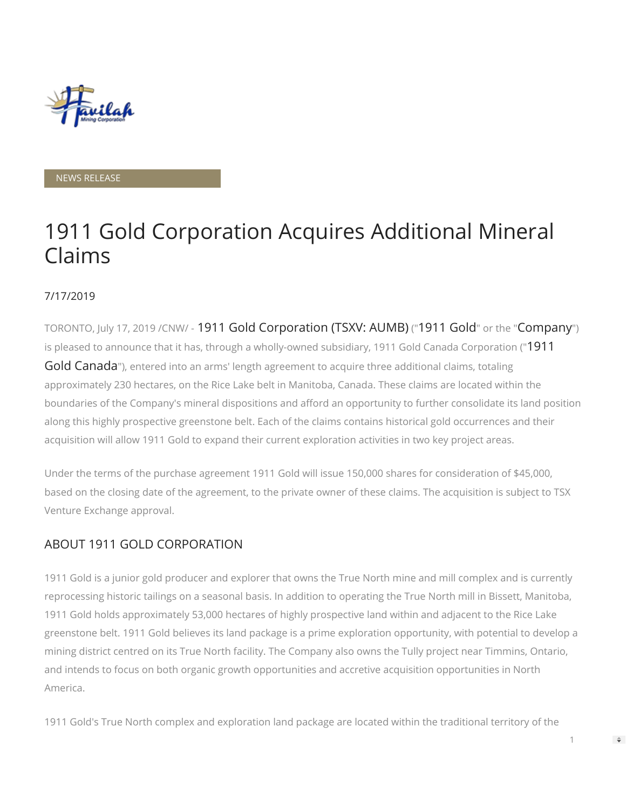

NEWS RELEASE

## 1911 Gold Corporation Acquires Additional Mineral Claims

## 7/17/2019

TORONTO, July 17, 2019 /CNW/ - 1911 Gold Corporation (TSXV: AUMB) ("1911 Gold" or the "Company") is pleased to announce that it has, through a wholly-owned subsidiary, 1911 Gold Canada Corporation ("1911 Gold Canada"), entered into an arms' length agreement to acquire three additional claims, totaling approximately 230 hectares, on the Rice Lake belt in Manitoba, Canada. These claims are located within the boundaries of the Company's mineral dispositions and afford an opportunity to further consolidate its land position along this highly prospective greenstone belt. Each of the claims contains historical gold occurrences and their acquisition will allow 1911 Gold to expand their current exploration activities in two key project areas.

Under the terms of the purchase agreement 1911 Gold will issue 150,000 shares for consideration of \$45,000, based on the closing date of the agreement, to the private owner of these claims. The acquisition is subject to TSX Venture Exchange approval.

## ABOUT 1911 GOLD CORPORATION

1911 Gold is a junior gold producer and explorer that owns the True North mine and mill complex and is currently reprocessing historic tailings on a seasonal basis. In addition to operating the True North mill in Bissett, Manitoba, 1911 Gold holds approximately 53,000 hectares of highly prospective land within and adjacent to the Rice Lake greenstone belt. 1911 Gold believes its land package is a prime exploration opportunity, with potential to develop a mining district centred on its True North facility. The Company also owns the Tully project near Timmins, Ontario, and intends to focus on both organic growth opportunities and accretive acquisition opportunities in North America.

1911 Gold's True North complex and exploration land package are located within the traditional territory of the

1

 $\Rightarrow$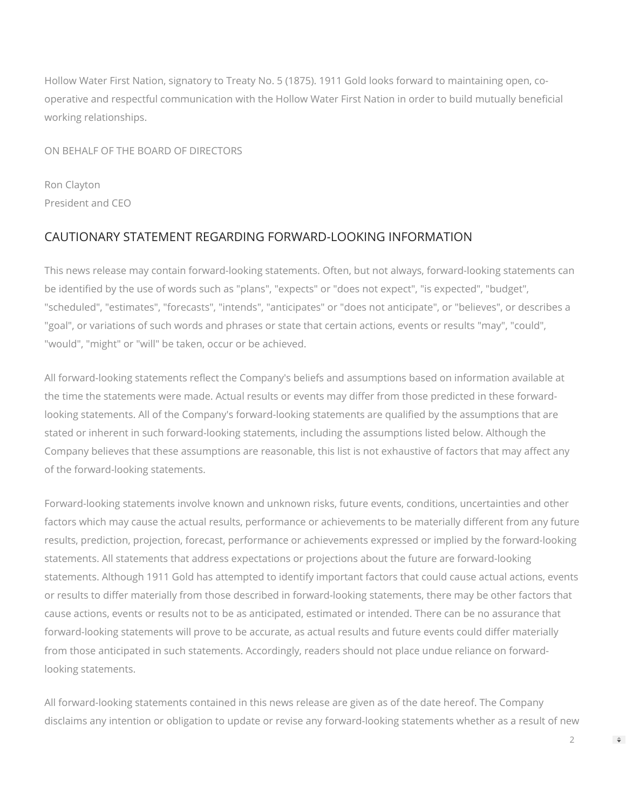Hollow Water First Nation, signatory to Treaty No. 5 (1875). 1911 Gold looks forward to maintaining open, cooperative and respectful communication with the Hollow Water First Nation in order to build mutually beneficial working relationships.

ON BEHALF OF THE BOARD OF DIRECTORS

Ron Clayton President and CEO

## CAUTIONARY STATEMENT REGARDING FORWARD-LOOKING INFORMATION

This news release may contain forward-looking statements. Often, but not always, forward-looking statements can be identified by the use of words such as "plans", "expects" or "does not expect", "is expected", "budget", "scheduled", "estimates", "forecasts", "intends", "anticipates" or "does not anticipate", or "believes", or describes a "goal", or variations of such words and phrases or state that certain actions, events or results "may", "could", "would", "might" or "will" be taken, occur or be achieved.

All forward-looking statements reflect the Company's beliefs and assumptions based on information available at the time the statements were made. Actual results or events may differ from those predicted in these forwardlooking statements. All of the Company's forward-looking statements are qualified by the assumptions that are stated or inherent in such forward-looking statements, including the assumptions listed below. Although the Company believes that these assumptions are reasonable, this list is not exhaustive of factors that may affect any of the forward-looking statements.

Forward-looking statements involve known and unknown risks, future events, conditions, uncertainties and other factors which may cause the actual results, performance or achievements to be materially different from any future results, prediction, projection, forecast, performance or achievements expressed or implied by the forward-looking statements. All statements that address expectations or projections about the future are forward-looking statements. Although 1911 Gold has attempted to identify important factors that could cause actual actions, events or results to differ materially from those described in forward-looking statements, there may be other factors that cause actions, events or results not to be as anticipated, estimated or intended. There can be no assurance that forward-looking statements will prove to be accurate, as actual results and future events could differ materially from those anticipated in such statements. Accordingly, readers should not place undue reliance on forwardlooking statements.

All forward-looking statements contained in this news release are given as of the date hereof. The Company disclaims any intention or obligation to update or revise any forward-looking statements whether as a result of new

 $\Rightarrow$ 

 $\mathfrak{D}$